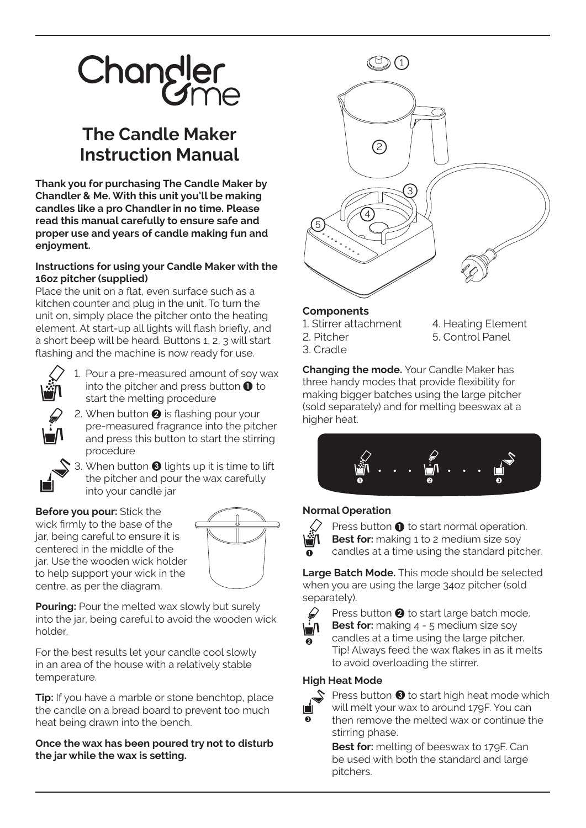# Changler

# **The Candle Maker Instruction Manual** <sup>2</sup>

**Thank you for purchasing The Candle Maker by Chandler & Me. With this unit you'll be making candles like a pro Chandler in no time. Please read this manual carefully to ensure safe and proper use and years of candle making fun and enjoyment.**

## **Instructions for using your Candle Maker with the 16oz pitcher (supplied)**

Place the unit on a flat, even surface such as a kitchen counter and plug in the unit. To turn the unit on, simply place the pitcher onto the heating element. At start-up all lights will flash briefly, and a short beep will be heard. Buttons 1, 2, 3 will start flashing and the machine is now ready for use.



- 1. Pour a pre-measured amount of soy wax into the pitcher and press button  $\bullet$  to start the melting procedure
- 2. When button  $\bullet$  is flashing pour your pre-measured fragrance into the pitcher and press this button to start the stirring procedure
- 3. When button  $\bigcirc$  lights up it is time to lift the pitcher and pour the wax carefully into your candle jar

## **Before you pour:** Stick the

wick firmly to the base of the jar, being careful to ensure it is centered in the middle of the jar. Use the wooden wick holder to help support your wick in the centre, as per the diagram.



**Pouring:** Pour the melted wax slowly but surely into the jar, being careful to avoid the wooden wick holder.

For the best results let your candle cool slowly in an area of the house with a relatively stable temperature.

**Tip:** If you have a marble or stone benchtop, place the candle on a bread board to prevent too much heat being drawn into the bench.

#### **Once the wax has been poured try not to disturb the jar while the wax is setting.**



#### **Components**

- 1. Stirrer attachment
- 2. Pitcher
- 3. Cradle
- 4. Heating Element 5. Control Panel

**Changing the mode.** Your Candle Maker has three handy modes that provide flexibility for making bigger batches using the large pitcher (sold separately) and for melting beeswax at a higher heat.



# **Normal Operation**



Press button  $\bullet$  to start normal operation. **Best for:** making 1 to 2 medium size soy candles at a time using the standard pitcher.

**Large Batch Mode.** This mode should be selected when you are using the large 34oz pitcher (sold separately).



Press button  $\bullet$  to start large batch mode. **Best for:** making 4 - 5 medium size soy

candles at a time using the large pitcher. Tip! Always feed the wax flakes in as it melts to avoid overloading the stirrer.

# **High Heat Mode**



Press button  $\bigcirc$  to start high heat mode which will melt your wax to around 179F. You can then remove the melted wax or continue the

stirring phase. **Best for:** melting of beeswax to 179F. Can

be used with both the standard and large pitchers.